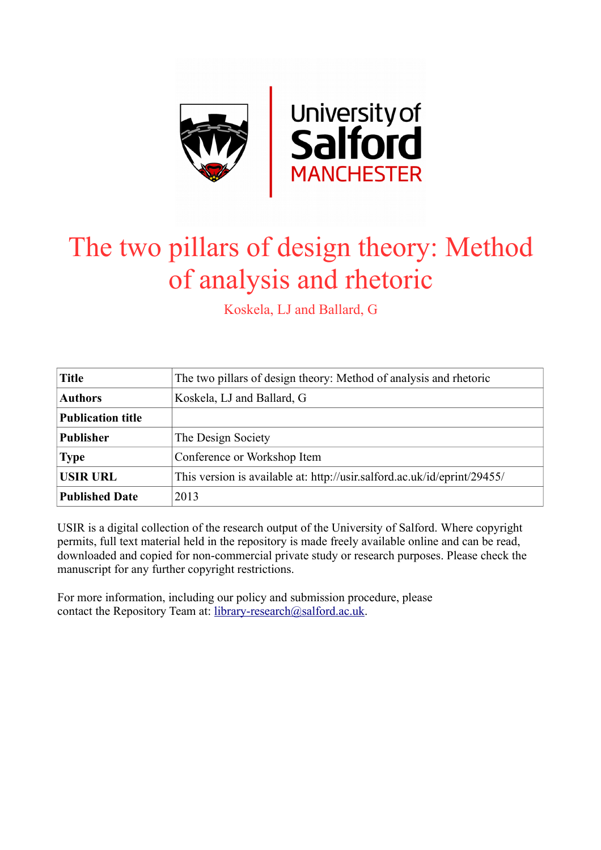

# The two pillars of design theory: Method of analysis and rhetoric

Koskela, LJ and Ballard, G

| <b>Title</b>             | The two pillars of design theory: Method of analysis and rhetoric        |  |
|--------------------------|--------------------------------------------------------------------------|--|
| <b>Authors</b>           | Koskela, LJ and Ballard, G                                               |  |
| <b>Publication title</b> |                                                                          |  |
| <b>Publisher</b>         | The Design Society                                                       |  |
| <b>Type</b>              | Conference or Workshop Item                                              |  |
| <b>USIR URL</b>          | This version is available at: http://usir.salford.ac.uk/id/eprint/29455/ |  |
| <b>Published Date</b>    | 2013                                                                     |  |

USIR is a digital collection of the research output of the University of Salford. Where copyright permits, full text material held in the repository is made freely available online and can be read, downloaded and copied for non-commercial private study or research purposes. Please check the manuscript for any further copyright restrictions.

For more information, including our policy and submission procedure, please contact the Repository Team at: [library-research@salford.ac.uk.](mailto:library-research@salford.ac.uk)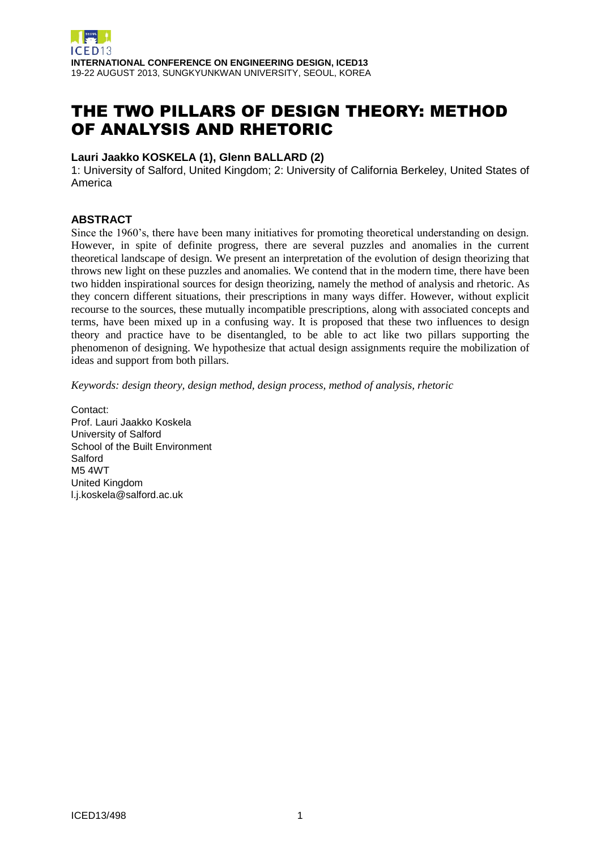# THE TWO PILLARS OF DESIGN THEORY: METHOD OF ANALYSIS AND RHETORIC

# **Lauri Jaakko KOSKELA (1), Glenn BALLARD (2)**

1: University of Salford, United Kingdom; 2: University of California Berkeley, United States of America

#### **ABSTRACT**

Since the 1960's, there have been many initiatives for promoting theoretical understanding on design. However, in spite of definite progress, there are several puzzles and anomalies in the current theoretical landscape of design. We present an interpretation of the evolution of design theorizing that throws new light on these puzzles and anomalies. We contend that in the modern time, there have been two hidden inspirational sources for design theorizing, namely the method of analysis and rhetoric. As they concern different situations, their prescriptions in many ways differ. However, without explicit recourse to the sources, these mutually incompatible prescriptions, along with associated concepts and terms, have been mixed up in a confusing way. It is proposed that these two influences to design theory and practice have to be disentangled, to be able to act like two pillars supporting the phenomenon of designing. We hypothesize that actual design assignments require the mobilization of ideas and support from both pillars.

*Keywords: design theory, design method, design process, method of analysis, rhetoric*

Contact: Prof. Lauri Jaakko Koskela University of Salford School of the Built Environment Salford M5 4WT United Kingdom l.j.koskela@salford.ac.uk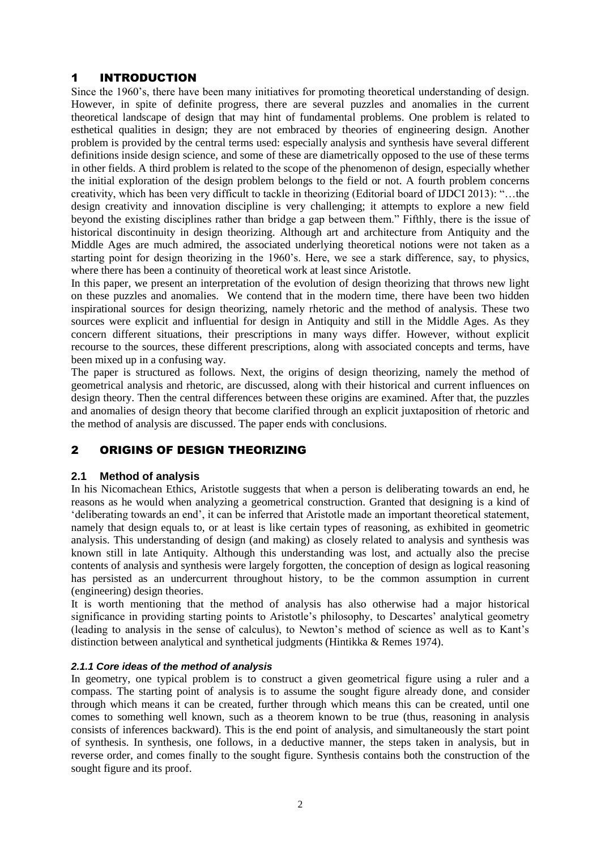# 1 INTRODUCTION

Since the 1960's, there have been many initiatives for promoting theoretical understanding of design. However, in spite of definite progress, there are several puzzles and anomalies in the current theoretical landscape of design that may hint of fundamental problems. One problem is related to esthetical qualities in design; they are not embraced by theories of engineering design. Another problem is provided by the central terms used: especially analysis and synthesis have several different definitions inside design science, and some of these are diametrically opposed to the use of these terms in other fields. A third problem is related to the scope of the phenomenon of design, especially whether the initial exploration of the design problem belongs to the field or not. A fourth problem concerns creativity, which has been very difficult to tackle in theorizing (Editorial board of IJDCI 2013): "…the design creativity and innovation discipline is very challenging; it attempts to explore a new field beyond the existing disciplines rather than bridge a gap between them." Fifthly, there is the issue of historical discontinuity in design theorizing. Although art and architecture from Antiquity and the Middle Ages are much admired, the associated underlying theoretical notions were not taken as a starting point for design theorizing in the 1960's. Here, we see a stark difference, say, to physics, where there has been a continuity of theoretical work at least since Aristotle.

In this paper, we present an interpretation of the evolution of design theorizing that throws new light on these puzzles and anomalies. We contend that in the modern time, there have been two hidden inspirational sources for design theorizing, namely rhetoric and the method of analysis. These two sources were explicit and influential for design in Antiquity and still in the Middle Ages. As they concern different situations, their prescriptions in many ways differ. However, without explicit recourse to the sources, these different prescriptions, along with associated concepts and terms, have been mixed up in a confusing way.

The paper is structured as follows. Next, the origins of design theorizing, namely the method of geometrical analysis and rhetoric, are discussed, along with their historical and current influences on design theory. Then the central differences between these origins are examined. After that, the puzzles and anomalies of design theory that become clarified through an explicit juxtaposition of rhetoric and the method of analysis are discussed. The paper ends with conclusions.

# 2 ORIGINS OF DESIGN THEORIZING

#### **2.1 Method of analysis**

In his Nicomachean Ethics, Aristotle suggests that when a person is deliberating towards an end, he reasons as he would when analyzing a geometrical construction. Granted that designing is a kind of 'deliberating towards an end', it can be inferred that Aristotle made an important theoretical statement, namely that design equals to, or at least is like certain types of reasoning, as exhibited in geometric analysis. This understanding of design (and making) as closely related to analysis and synthesis was known still in late Antiquity. Although this understanding was lost, and actually also the precise contents of analysis and synthesis were largely forgotten, the conception of design as logical reasoning has persisted as an undercurrent throughout history, to be the common assumption in current (engineering) design theories.

It is worth mentioning that the method of analysis has also otherwise had a major historical significance in providing starting points to Aristotle's philosophy, to Descartes' analytical geometry (leading to analysis in the sense of calculus), to Newton's method of science as well as to Kant's distinction between analytical and synthetical judgments (Hintikka & Remes 1974).

#### *2.1.1 Core ideas of the method of analysis*

In geometry, one typical problem is to construct a given geometrical figure using a ruler and a compass. The starting point of analysis is to assume the sought figure already done, and consider through which means it can be created, further through which means this can be created, until one comes to something well known, such as a theorem known to be true (thus, reasoning in analysis consists of inferences backward). This is the end point of analysis, and simultaneously the start point of synthesis. In synthesis, one follows, in a deductive manner, the steps taken in analysis, but in reverse order, and comes finally to the sought figure. Synthesis contains both the construction of the sought figure and its proof.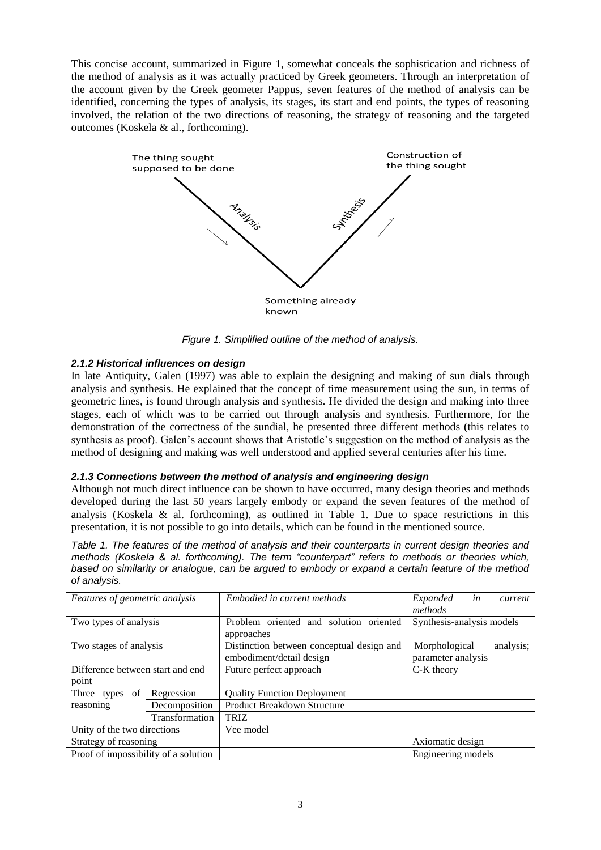This concise account, summarized in Figure 1, somewhat conceals the sophistication and richness of the method of analysis as it was actually practiced by Greek geometers. Through an interpretation of the account given by the Greek geometer Pappus, seven features of the method of analysis can be identified, concerning the types of analysis, its stages, its start and end points, the types of reasoning involved, the relation of the two directions of reasoning, the strategy of reasoning and the targeted outcomes (Koskela & al., forthcoming).



*Figure 1. Simplified outline of the method of analysis.*

#### *2.1.2 Historical influences on design*

In late Antiquity, Galen (1997) was able to explain the designing and making of sun dials through analysis and synthesis. He explained that the concept of time measurement using the sun, in terms of geometric lines, is found through analysis and synthesis. He divided the design and making into three stages, each of which was to be carried out through analysis and synthesis. Furthermore, for the demonstration of the correctness of the sundial, he presented three different methods (this relates to synthesis as proof). Galen's account shows that Aristotle's suggestion on the method of analysis as the method of designing and making was well understood and applied several centuries after his time.

#### *2.1.3 Connections between the method of analysis and engineering design*

Although not much direct influence can be shown to have occurred, many design theories and methods developed during the last 50 years largely embody or expand the seven features of the method of analysis (Koskela  $\&$  al. forthcoming), as outlined in Table 1. Due to space restrictions in this presentation, it is not possible to go into details, which can be found in the mentioned source.

*Table 1. The features of the method of analysis and their counterparts in current design theories and methods (Koskela & al. forthcoming). The term "counterpart" refers to methods or theories which, based on similarity or analogue, can be argued to embody or expand a certain feature of the method of analysis.*

| Features of geometric analysis       |                | Embodied in current methods               | in<br>Expanded<br>current  |
|--------------------------------------|----------------|-------------------------------------------|----------------------------|
|                                      |                |                                           | methods                    |
| Two types of analysis                |                | Problem oriented and solution oriented    | Synthesis-analysis models  |
|                                      |                | approaches                                |                            |
| Two stages of analysis               |                | Distinction between conceptual design and | Morphological<br>analysis; |
|                                      |                | embodiment/detail design                  | parameter analysis         |
| Difference between start and end     |                | Future perfect approach                   | C-K theory                 |
| point                                |                |                                           |                            |
| Three types of                       | Regression     | <b>Quality Function Deployment</b>        |                            |
| reasoning                            | Decomposition  | <b>Product Breakdown Structure</b>        |                            |
|                                      | Transformation | <b>TRIZ</b>                               |                            |
| Unity of the two directions          |                | Vee model                                 |                            |
| Strategy of reasoning                |                |                                           | Axiomatic design           |
| Proof of impossibility of a solution |                |                                           | Engineering models         |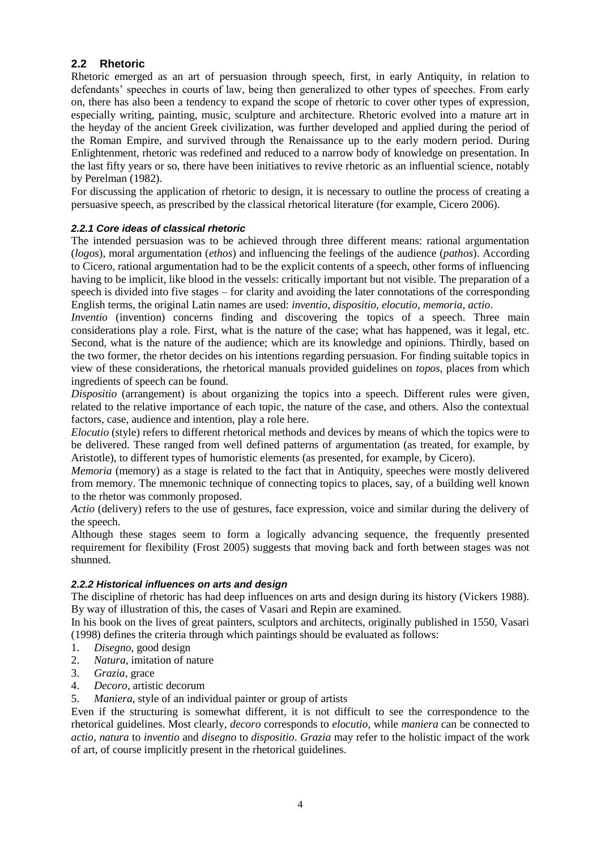# **2.2 Rhetoric**

Rhetoric emerged as an art of persuasion through speech, first, in early Antiquity, in relation to defendants' speeches in courts of law, being then generalized to other types of speeches. From early on, there has also been a tendency to expand the scope of rhetoric to cover other types of expression, especially writing, painting, music, sculpture and architecture. Rhetoric evolved into a mature art in the heyday of the ancient Greek civilization, was further developed and applied during the period of the Roman Empire, and survived through the Renaissance up to the early modern period. During Enlightenment, rhetoric was redefined and reduced to a narrow body of knowledge on presentation. In the last fifty years or so, there have been initiatives to revive rhetoric as an influential science, notably by Perelman (1982).

For discussing the application of rhetoric to design, it is necessary to outline the process of creating a persuasive speech, as prescribed by the classical rhetorical literature (for example, Cicero 2006).

#### *2.2.1 Core ideas of classical rhetoric*

The intended persuasion was to be achieved through three different means: rational argumentation (*logos*), moral argumentation (*ethos*) and influencing the feelings of the audience (*pathos*). According to Cicero, rational argumentation had to be the explicit contents of a speech, other forms of influencing having to be implicit, like blood in the vessels: critically important but not visible. The preparation of a speech is divided into five stages – for clarity and avoiding the later connotations of the corresponding English terms, the original Latin names are used: *inventio, dispositio, elocutio, memoria, actio*.

*Inventio* (invention) concerns finding and discovering the topics of a speech. Three main considerations play a role. First, what is the nature of the case; what has happened, was it legal, etc. Second, what is the nature of the audience; which are its knowledge and opinions. Thirdly, based on the two former, the rhetor decides on his intentions regarding persuasion. For finding suitable topics in view of these considerations, the rhetorical manuals provided guidelines on *topos*, places from which ingredients of speech can be found.

*Dispositio* (arrangement) is about organizing the topics into a speech. Different rules were given, related to the relative importance of each topic, the nature of the case, and others. Also the contextual factors, case, audience and intention, play a role here.

*Elocutio* (style) refers to different rhetorical methods and devices by means of which the topics were to be delivered. These ranged from well defined patterns of argumentation (as treated, for example, by Aristotle), to different types of humoristic elements (as presented, for example, by Cicero).

*Memoria* (memory) as a stage is related to the fact that in Antiquity, speeches were mostly delivered from memory. The mnemonic technique of connecting topics to places, say, of a building well known to the rhetor was commonly proposed.

*Actio* (delivery) refers to the use of gestures, face expression, voice and similar during the delivery of the speech.

Although these stages seem to form a logically advancing sequence, the frequently presented requirement for flexibility (Frost 2005) suggests that moving back and forth between stages was not shunned.

#### *2.2.2 Historical influences on arts and design*

The discipline of rhetoric has had deep influences on arts and design during its history (Vickers 1988). By way of illustration of this, the cases of Vasari and Repin are examined.

In his book on the lives of great painters, sculptors and architects, originally published in 1550, Vasari (1998) defines the criteria through which paintings should be evaluated as follows:

- 1. *Disegno*, good design
- 2. *Natura*, imitation of nature
- 3. *Grazia*, grace
- 4. *Decoro*, artistic decorum
- 5. *Maniera*, style of an individual painter or group of artists

Even if the structuring is somewhat different, it is not difficult to see the correspondence to the rhetorical guidelines. Most clearly, *decoro* corresponds to *elocutio*, while *maniera* can be connected to *actio*, *natura* to *inventio* and *disegno* to *dispositio*. *Grazia* may refer to the holistic impact of the work of art, of course implicitly present in the rhetorical guidelines.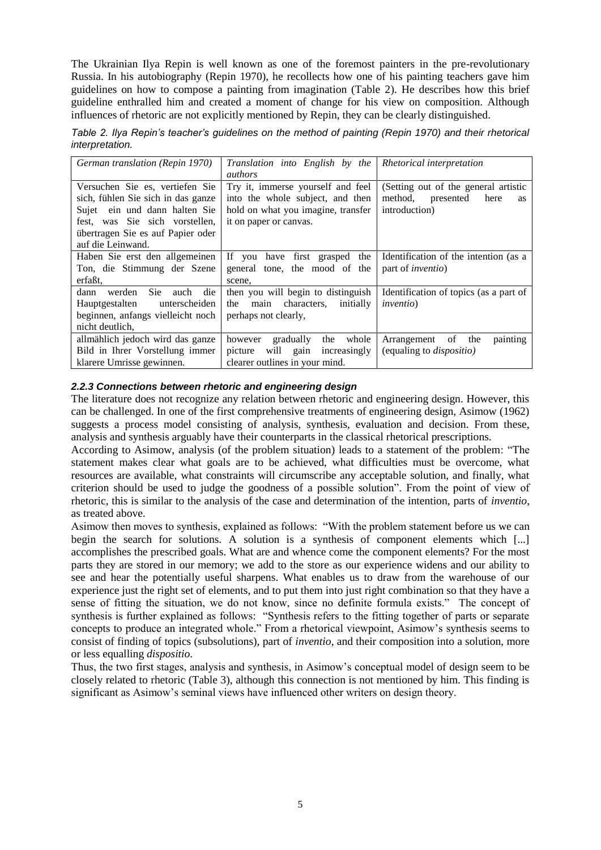The Ukrainian Ilya Repin is well known as one of the foremost painters in the pre-revolutionary Russia. In his autobiography (Repin 1970), he recollects how one of his painting teachers gave him guidelines on how to compose a painting from imagination (Table 2). He describes how this brief guideline enthralled him and created a moment of change for his view on composition. Although influences of rhetoric are not explicitly mentioned by Repin, they can be clearly distinguished.

*Table 2. Ilya Repin's teacher's guidelines on the method of painting (Repin 1970) and their rhetorical interpretation.*

| German translation (Repin 1970)                                                                                                                                                                    | Translation into English by the<br><i>authors</i>                                                                                     | Rhetorical interpretation                                                                          |
|----------------------------------------------------------------------------------------------------------------------------------------------------------------------------------------------------|---------------------------------------------------------------------------------------------------------------------------------------|----------------------------------------------------------------------------------------------------|
| Versuchen Sie es, vertiefen Sie<br>sich, fühlen Sie sich in das ganze<br>Sujet ein und dann halten Sie<br>fest, was Sie sich vorstellen,<br>übertragen Sie es auf Papier oder<br>auf die Leinwand. | Try it, immerse yourself and feel<br>into the whole subject, and then<br>hold on what you imagine, transfer<br>it on paper or canvas. | (Setting out of the general artistic<br>method,<br>presented<br>here<br><b>as</b><br>introduction) |
| Haben Sie erst den allgemeinen<br>Ton, die Stimmung der Szene<br>erfaßt.                                                                                                                           | If you have first grasped the<br>general tone, the mood of the<br>scene.                                                              | Identification of the intention (as a<br>part of <i>inventio</i> )                                 |
| Sie<br>werden<br>dann<br>auch<br>die<br>Hauptgestalten<br>unterscheiden<br>beginnen, anfangs vielleicht noch<br>nicht deutlich.                                                                    | then you will begin to distinguish<br>characters,<br>initially<br>the<br>main<br>perhaps not clearly,                                 | Identification of topics (as a part of<br><i>inventio</i> )                                        |
| allmählich jedoch wird das ganze<br>Bild in Ihrer Vorstellung immer<br>klarere Umrisse gewinnen.                                                                                                   | whole<br>however<br>gradually<br>the<br>will gain<br>increasingly<br>picture<br>clearer outlines in your mind.                        | the<br>painting<br>of<br>Arrangement<br>(equaling to <i>dispositio</i> )                           |

#### *2.2.3 Connections between rhetoric and engineering design*

The literature does not recognize any relation between rhetoric and engineering design. However, this can be challenged. In one of the first comprehensive treatments of engineering design, Asimow (1962) suggests a process model consisting of analysis, synthesis, evaluation and decision. From these, analysis and synthesis arguably have their counterparts in the classical rhetorical prescriptions.

According to Asimow, analysis (of the problem situation) leads to a statement of the problem: "The statement makes clear what goals are to be achieved, what difficulties must be overcome, what resources are available, what constraints will circumscribe any acceptable solution, and finally, what criterion should be used to judge the goodness of a possible solution". From the point of view of rhetoric, this is similar to the analysis of the case and determination of the intention, parts of *inventio*, as treated above.

Asimow then moves to synthesis, explained as follows: "With the problem statement before us we can begin the search for solutions. A solution is a synthesis of component elements which [...] accomplishes the prescribed goals. What are and whence come the component elements? For the most parts they are stored in our memory; we add to the store as our experience widens and our ability to see and hear the potentially useful sharpens. What enables us to draw from the warehouse of our experience just the right set of elements, and to put them into just right combination so that they have a sense of fitting the situation, we do not know, since no definite formula exists." The concept of synthesis is further explained as follows: "Synthesis refers to the fitting together of parts or separate concepts to produce an integrated whole." From a rhetorical viewpoint, Asimow's synthesis seems to consist of finding of topics (subsolutions), part of *inventio*, and their composition into a solution, more or less equalling *dispositio*.

Thus, the two first stages, analysis and synthesis, in Asimow's conceptual model of design seem to be closely related to rhetoric (Table 3), although this connection is not mentioned by him. This finding is significant as Asimow's seminal views have influenced other writers on design theory.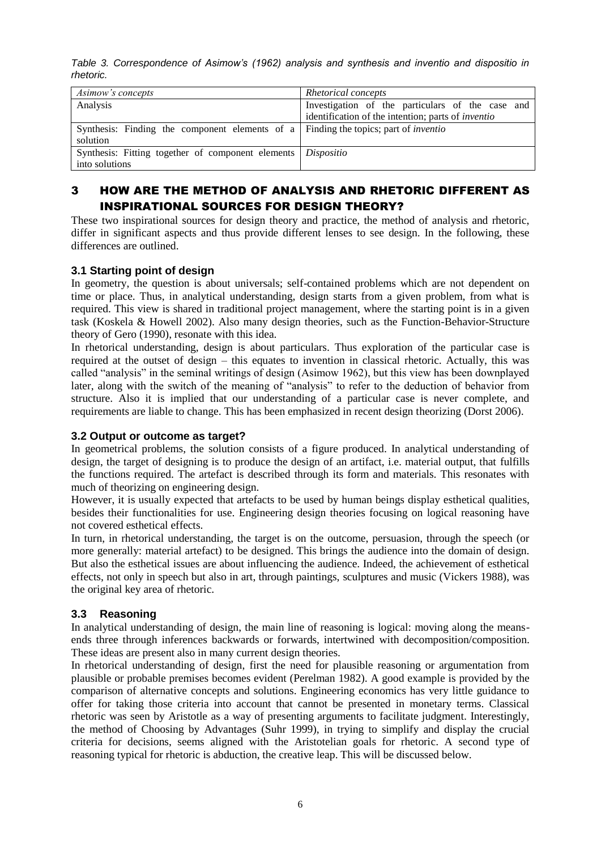*Table 3. Correspondence of Asimow's (1962) analysis and synthesis and inventio and dispositio in rhetoric.*

| Asimow's concepts                                                                          | Rhetorical concepts                                       |  |
|--------------------------------------------------------------------------------------------|-----------------------------------------------------------|--|
| Analysis                                                                                   | Investigation of the particulars of the case and          |  |
|                                                                                            | identification of the intention; parts of <i>inventio</i> |  |
| Synthesis: Finding the component elements of a Finding the topics; part of <i>inventio</i> |                                                           |  |
| solution                                                                                   |                                                           |  |
| Synthesis: Fitting together of component elements   Dispositio                             |                                                           |  |
| into solutions                                                                             |                                                           |  |

# 3 HOW ARE THE METHOD OF ANALYSIS AND RHETORIC DIFFERENT AS INSPIRATIONAL SOURCES FOR DESIGN THEORY?

These two inspirational sources for design theory and practice, the method of analysis and rhetoric, differ in significant aspects and thus provide different lenses to see design. In the following, these differences are outlined.

# **3.1 Starting point of design**

In geometry, the question is about universals; self-contained problems which are not dependent on time or place. Thus, in analytical understanding, design starts from a given problem, from what is required. This view is shared in traditional project management, where the starting point is in a given task (Koskela & Howell 2002). Also many design theories, such as the Function-Behavior-Structure theory of Gero (1990), resonate with this idea.

In rhetorical understanding, design is about particulars. Thus exploration of the particular case is required at the outset of design – this equates to invention in classical rhetoric. Actually, this was called "analysis" in the seminal writings of design (Asimow 1962), but this view has been downplayed later, along with the switch of the meaning of "analysis" to refer to the deduction of behavior from structure. Also it is implied that our understanding of a particular case is never complete, and requirements are liable to change. This has been emphasized in recent design theorizing (Dorst 2006).

#### **3.2 Output or outcome as target?**

In geometrical problems, the solution consists of a figure produced. In analytical understanding of design, the target of designing is to produce the design of an artifact, i.e. material output, that fulfills the functions required. The artefact is described through its form and materials. This resonates with much of theorizing on engineering design.

However, it is usually expected that artefacts to be used by human beings display esthetical qualities, besides their functionalities for use. Engineering design theories focusing on logical reasoning have not covered esthetical effects.

In turn, in rhetorical understanding, the target is on the outcome, persuasion, through the speech (or more generally: material artefact) to be designed. This brings the audience into the domain of design. But also the esthetical issues are about influencing the audience. Indeed, the achievement of esthetical effects, not only in speech but also in art, through paintings, sculptures and music (Vickers 1988), was the original key area of rhetoric.

#### **3.3 Reasoning**

In analytical understanding of design, the main line of reasoning is logical: moving along the meansends three through inferences backwards or forwards, intertwined with decomposition/composition. These ideas are present also in many current design theories.

In rhetorical understanding of design, first the need for plausible reasoning or argumentation from plausible or probable premises becomes evident (Perelman 1982). A good example is provided by the comparison of alternative concepts and solutions. Engineering economics has very little guidance to offer for taking those criteria into account that cannot be presented in monetary terms. Classical rhetoric was seen by Aristotle as a way of presenting arguments to facilitate judgment. Interestingly, the method of Choosing by Advantages (Suhr 1999), in trying to simplify and display the crucial criteria for decisions, seems aligned with the Aristotelian goals for rhetoric. A second type of reasoning typical for rhetoric is abduction, the creative leap. This will be discussed below.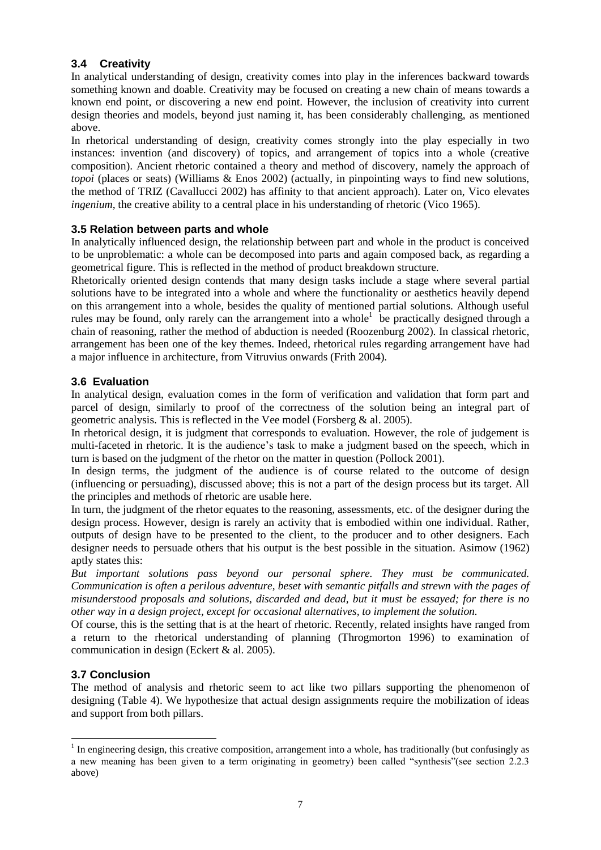# **3.4 Creativity**

In analytical understanding of design, creativity comes into play in the inferences backward towards something known and doable. Creativity may be focused on creating a new chain of means towards a known end point, or discovering a new end point. However, the inclusion of creativity into current design theories and models, beyond just naming it, has been considerably challenging, as mentioned above.

In rhetorical understanding of design, creativity comes strongly into the play especially in two instances: invention (and discovery) of topics, and arrangement of topics into a whole (creative composition). Ancient rhetoric contained a theory and method of discovery, namely the approach of *topoi* (places or seats) (Williams & Enos 2002) (actually, in pinpointing ways to find new solutions, the method of TRIZ (Cavallucci 2002) has affinity to that ancient approach). Later on, Vico elevates *ingenium*, the creative ability to a central place in his understanding of rhetoric (Vico 1965).

#### **3.5 Relation between parts and whole**

In analytically influenced design, the relationship between part and whole in the product is conceived to be unproblematic: a whole can be decomposed into parts and again composed back, as regarding a geometrical figure. This is reflected in the method of product breakdown structure.

Rhetorically oriented design contends that many design tasks include a stage where several partial solutions have to be integrated into a whole and where the functionality or aesthetics heavily depend on this arrangement into a whole, besides the quality of mentioned partial solutions. Although useful rules may be found, only rarely can the arrangement into a whole<sup>1</sup> be practically designed through a chain of reasoning, rather the method of abduction is needed (Roozenburg 2002). In classical rhetoric, arrangement has been one of the key themes. Indeed, rhetorical rules regarding arrangement have had a major influence in architecture, from Vitruvius onwards (Frith 2004).

#### **3.6 Evaluation**

In analytical design, evaluation comes in the form of verification and validation that form part and parcel of design, similarly to proof of the correctness of the solution being an integral part of geometric analysis. This is reflected in the Vee model (Forsberg & al. 2005).

In rhetorical design, it is judgment that corresponds to evaluation. However, the role of judgement is multi-faceted in rhetoric. It is the audience's task to make a judgment based on the speech, which in turn is based on the judgment of the rhetor on the matter in question (Pollock 2001).

In design terms, the judgment of the audience is of course related to the outcome of design (influencing or persuading), discussed above; this is not a part of the design process but its target. All the principles and methods of rhetoric are usable here.

In turn, the judgment of the rhetor equates to the reasoning, assessments, etc. of the designer during the design process. However, design is rarely an activity that is embodied within one individual. Rather, outputs of design have to be presented to the client, to the producer and to other designers. Each designer needs to persuade others that his output is the best possible in the situation. Asimow (1962) aptly states this:

*But important solutions pass beyond our personal sphere. They must be communicated. Communication is often a perilous adventure, beset with semantic pitfalls and strewn with the pages of misunderstood proposals and solutions, discarded and dead, but it must be essayed; for there is no other way in a design project, except for occasional alternatives, to implement the solution.*

Of course, this is the setting that is at the heart of rhetoric. Recently, related insights have ranged from a return to the rhetorical understanding of planning (Throgmorton 1996) to examination of communication in design (Eckert & al. 2005).

#### **3.7 Conclusion**

l

The method of analysis and rhetoric seem to act like two pillars supporting the phenomenon of designing (Table 4). We hypothesize that actual design assignments require the mobilization of ideas and support from both pillars.

 $<sup>1</sup>$  In engineering design, this creative composition, arrangement into a whole, has traditionally (but confusingly as</sup> a new meaning has been given to a term originating in geometry) been called "synthesis"(see section 2.2.3 above)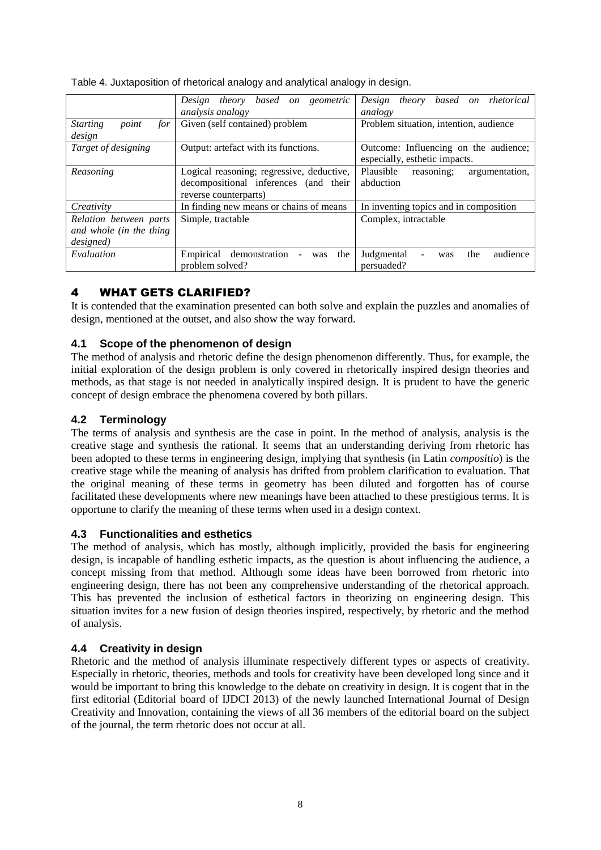Table 4. Juxtaposition of rhetorical analogy and analytical analogy in design.

|                                 | Design theory based<br>on geometric                        | theory based on rhetorical<br>Design      |
|---------------------------------|------------------------------------------------------------|-------------------------------------------|
|                                 | <i>analysis analogy</i>                                    | analogy                                   |
| point<br><b>Starting</b><br>for | Given (self contained) problem                             | Problem situation, intention, audience    |
| design                          |                                                            |                                           |
| Target of designing             | Output: artefact with its functions.                       | Outcome: Influencing on the audience;     |
|                                 |                                                            | especially, esthetic impacts.             |
| Reasoning                       | Logical reasoning; regressive, deductive,                  | Plausible<br>reasoning;<br>argumentation, |
|                                 | decompositional inferences (and their                      | abduction                                 |
|                                 | reverse counterparts)                                      |                                           |
| Creativity                      | In finding new means or chains of means                    | In inventing topics and in composition    |
| Relation between parts          | Simple, tractable                                          | Complex, intractable                      |
| and whole (in the thing         |                                                            |                                           |
| designed)                       |                                                            |                                           |
| Evaluation                      | Empirical<br>demonstration<br>the<br>was<br>$\blacksquare$ | Judgmental<br>the<br>audience<br>was      |
|                                 | problem solved?                                            | persuaded?                                |

# 4 WHAT GETS CLARIFIED?

It is contended that the examination presented can both solve and explain the puzzles and anomalies of design, mentioned at the outset, and also show the way forward.

# **4.1 Scope of the phenomenon of design**

The method of analysis and rhetoric define the design phenomenon differently. Thus, for example, the initial exploration of the design problem is only covered in rhetorically inspired design theories and methods, as that stage is not needed in analytically inspired design. It is prudent to have the generic concept of design embrace the phenomena covered by both pillars.

#### **4.2 Terminology**

The terms of analysis and synthesis are the case in point. In the method of analysis, analysis is the creative stage and synthesis the rational. It seems that an understanding deriving from rhetoric has been adopted to these terms in engineering design, implying that synthesis (in Latin *compositio*) is the creative stage while the meaning of analysis has drifted from problem clarification to evaluation. That the original meaning of these terms in geometry has been diluted and forgotten has of course facilitated these developments where new meanings have been attached to these prestigious terms. It is opportune to clarify the meaning of these terms when used in a design context.

#### **4.3 Functionalities and esthetics**

The method of analysis, which has mostly, although implicitly, provided the basis for engineering design, is incapable of handling esthetic impacts, as the question is about influencing the audience, a concept missing from that method. Although some ideas have been borrowed from rhetoric into engineering design, there has not been any comprehensive understanding of the rhetorical approach. This has prevented the inclusion of esthetical factors in theorizing on engineering design. This situation invites for a new fusion of design theories inspired, respectively, by rhetoric and the method of analysis.

#### **4.4 Creativity in design**

Rhetoric and the method of analysis illuminate respectively different types or aspects of creativity. Especially in rhetoric, theories, methods and tools for creativity have been developed long since and it would be important to bring this knowledge to the debate on creativity in design. It is cogent that in the first editorial (Editorial board of IJDCI 2013) of the newly launched International Journal of Design Creativity and Innovation, containing the views of all 36 members of the editorial board on the subject of the journal, the term rhetoric does not occur at all.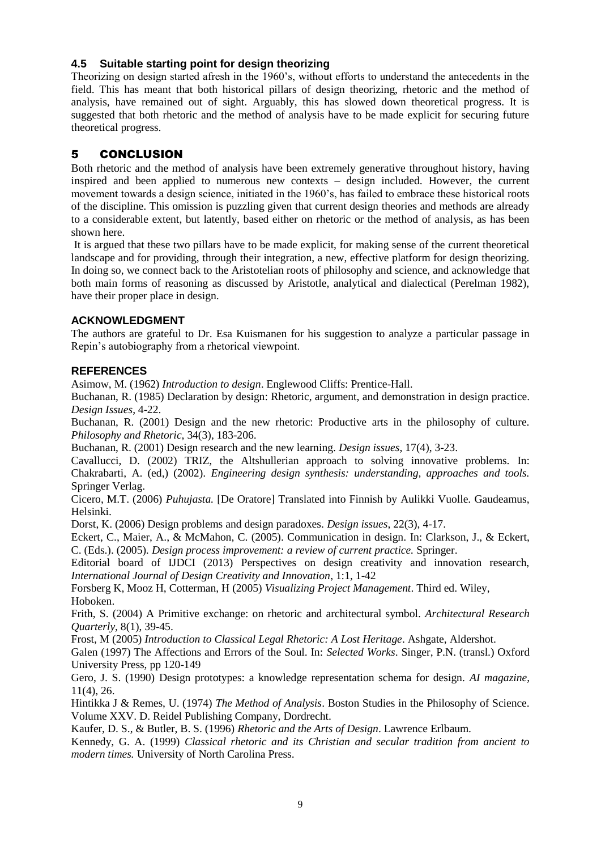# **4.5 Suitable starting point for design theorizing**

Theorizing on design started afresh in the 1960's, without efforts to understand the antecedents in the field. This has meant that both historical pillars of design theorizing, rhetoric and the method of analysis, have remained out of sight. Arguably, this has slowed down theoretical progress. It is suggested that both rhetoric and the method of analysis have to be made explicit for securing future theoretical progress.

# 5 CONCLUSION

Both rhetoric and the method of analysis have been extremely generative throughout history, having inspired and been applied to numerous new contexts – design included. However, the current movement towards a design science, initiated in the 1960's, has failed to embrace these historical roots of the discipline. This omission is puzzling given that current design theories and methods are already to a considerable extent, but latently, based either on rhetoric or the method of analysis, as has been shown here.

It is argued that these two pillars have to be made explicit, for making sense of the current theoretical landscape and for providing, through their integration, a new, effective platform for design theorizing. In doing so, we connect back to the Aristotelian roots of philosophy and science, and acknowledge that both main forms of reasoning as discussed by Aristotle, analytical and dialectical (Perelman 1982), have their proper place in design.

#### **ACKNOWLEDGMENT**

The authors are grateful to Dr. Esa Kuismanen for his suggestion to analyze a particular passage in Repin's autobiography from a rhetorical viewpoint.

#### **REFERENCES**

Asimow, M. (1962) *Introduction to design*. Englewood Cliffs: Prentice-Hall.

Buchanan, R. (1985) Declaration by design: Rhetoric, argument, and demonstration in design practice. *Design Issues*, 4-22.

Buchanan, R. (2001) Design and the new rhetoric: Productive arts in the philosophy of culture. *Philosophy and Rhetoric*, 34(3), 183-206.

Buchanan, R. (2001) Design research and the new learning. *Design issues*, 17(4), 3-23.

Cavallucci, D. (2002) TRIZ, the Altshullerian approach to solving innovative problems. In: Chakrabarti, A. (ed,) (2002). *Engineering design synthesis: understanding, approaches and tools.*  Springer Verlag.

Cicero, M.T. (2006) *Puhujasta.* [De Oratore] Translated into Finnish by Aulikki Vuolle. Gaudeamus, Helsinki.

Dorst, K. (2006) Design problems and design paradoxes. *Design issues*, 22(3), 4-17.

Eckert, C., Maier, A., & McMahon, C. (2005). Communication in design. In: Clarkson, J., & Eckert, C. (Eds.). (2005)*. Design process improvement: a review of current practice.* Springer.

Editorial board of IJDCI (2013) Perspectives on design creativity and innovation research, *International Journal of Design Creativity and Innovation*, 1:1, 1-42

Forsberg K, Mooz H, Cotterman, H (2005) *Visualizing Project Management*. Third ed. Wiley, Hoboken.

Frith, S. (2004) A Primitive exchange: on rhetoric and architectural symbol. *Architectural Research Quarterly*, 8(1), 39-45.

Frost, M (2005) *Introduction to Classical Legal Rhetoric: A Lost Heritage*. Ashgate, Aldershot.

Galen (1997) The Affections and Errors of the Soul. In: *Selected Works*. Singer, P.N. (transl.) Oxford University Press, pp 120-149

Gero, J. S. (1990) Design prototypes: a knowledge representation schema for design. *AI magazine*, 11(4), 26.

Hintikka J & Remes, U. (1974) *The Method of Analysis*. Boston Studies in the Philosophy of Science. Volume XXV. D. Reidel Publishing Company, Dordrecht.

Kaufer, D. S., & Butler, B. S. (1996) *Rhetoric and the Arts of Design*. Lawrence Erlbaum.

Kennedy, G. A. (1999) *Classical rhetoric and its Christian and secular tradition from ancient to modern times.* University of North Carolina Press.